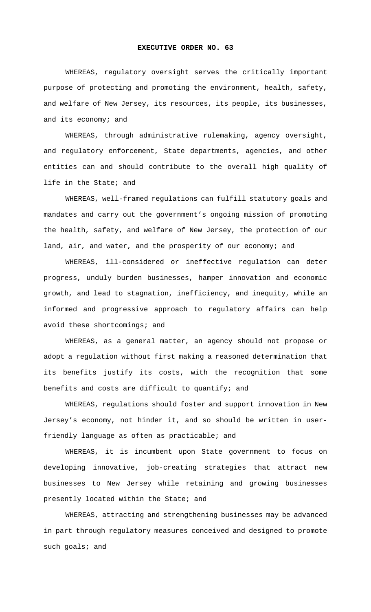## **EXECUTIVE ORDER NO. 63**

WHEREAS, regulatory oversight serves the critically important purpose of protecting and promoting the environment, health, safety, and welfare of New Jersey, its resources, its people, its businesses, and its economy; and

WHEREAS, through administrative rulemaking, agency oversight, and regulatory enforcement, State departments, agencies, and other entities can and should contribute to the overall high quality of life in the State; and

WHEREAS, well-framed regulations can fulfill statutory goals and mandates and carry out the government's ongoing mission of promoting the health, safety, and welfare of New Jersey, the protection of our land, air, and water, and the prosperity of our economy; and

WHEREAS, ill-considered or ineffective regulation can deter progress, unduly burden businesses, hamper innovation and economic growth, and lead to stagnation, inefficiency, and inequity, while an informed and progressive approach to regulatory affairs can help avoid these shortcomings; and

WHEREAS, as a general matter, an agency should not propose or adopt a regulation without first making a reasoned determination that its benefits justify its costs, with the recognition that some benefits and costs are difficult to quantify; and

WHEREAS, regulations should foster and support innovation in New Jersey's economy, not hinder it, and so should be written in userfriendly language as often as practicable; and

WHEREAS, it is incumbent upon State government to focus on developing innovative, job-creating strategies that attract new businesses to New Jersey while retaining and growing businesses presently located within the State; and

WHEREAS, attracting and strengthening businesses may be advanced in part through regulatory measures conceived and designed to promote such goals; and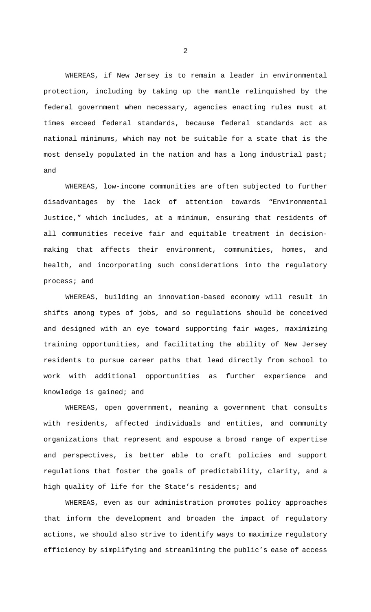WHEREAS, if New Jersey is to remain a leader in environmental protection, including by taking up the mantle relinquished by the federal government when necessary, agencies enacting rules must at times exceed federal standards, because federal standards act as national minimums, which may not be suitable for a state that is the most densely populated in the nation and has a long industrial past; and

WHEREAS, low-income communities are often subjected to further disadvantages by the lack of attention towards "Environmental Justice," which includes, at a minimum, ensuring that residents of all communities receive fair and equitable treatment in decisionmaking that affects their environment, communities, homes, and health, and incorporating such considerations into the regulatory process; and

WHEREAS, building an innovation-based economy will result in shifts among types of jobs, and so regulations should be conceived and designed with an eye toward supporting fair wages, maximizing training opportunities, and facilitating the ability of New Jersey residents to pursue career paths that lead directly from school to work with additional opportunities as further experience and knowledge is gained; and

WHEREAS, open government, meaning a government that consults with residents, affected individuals and entities, and community organizations that represent and espouse a broad range of expertise and perspectives, is better able to craft policies and support regulations that foster the goals of predictability, clarity, and a high quality of life for the State's residents; and

WHEREAS, even as our administration promotes policy approaches that inform the development and broaden the impact of regulatory actions, we should also strive to identify ways to maximize regulatory efficiency by simplifying and streamlining the public's ease of access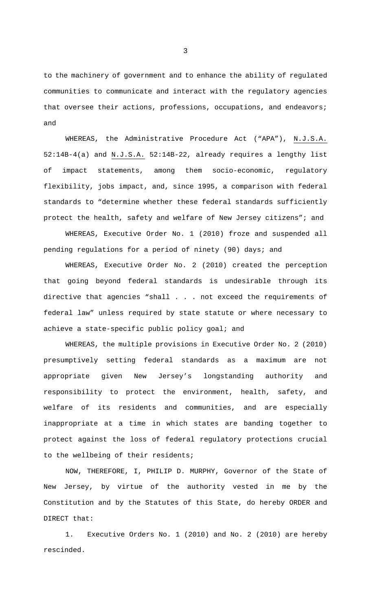to the machinery of government and to enhance the ability of regulated communities to communicate and interact with the regulatory agencies that oversee their actions, professions, occupations, and endeavors; and

WHEREAS, the Administrative Procedure Act ("APA"), N.J.S.A. 52:14B-4(a) and N.J.S.A. 52:14B-22, already requires a lengthy list of impact statements, among them socio-economic, regulatory flexibility, jobs impact, and, since 1995, a comparison with federal standards to "determine whether these federal standards sufficiently protect the health, safety and welfare of New Jersey citizens"; and

WHEREAS, Executive Order No. 1 (2010) froze and suspended all pending regulations for a period of ninety (90) days; and

WHEREAS, Executive Order No. 2 (2010) created the perception that going beyond federal standards is undesirable through its directive that agencies "shall . . . not exceed the requirements of federal law" unless required by state statute or where necessary to achieve a state-specific public policy goal; and

WHEREAS, the multiple provisions in Executive Order No. 2 (2010) presumptively setting federal standards as a maximum are not appropriate given New Jersey's longstanding authority and responsibility to protect the environment, health, safety, and welfare of its residents and communities, and are especially inappropriate at a time in which states are banding together to protect against the loss of federal regulatory protections crucial to the wellbeing of their residents;

NOW, THEREFORE, I, PHILIP D. MURPHY, Governor of the State of New Jersey, by virtue of the authority vested in me by the Constitution and by the Statutes of this State, do hereby ORDER and DIRECT that:

1. Executive Orders No. 1 (2010) and No. 2 (2010) are hereby rescinded.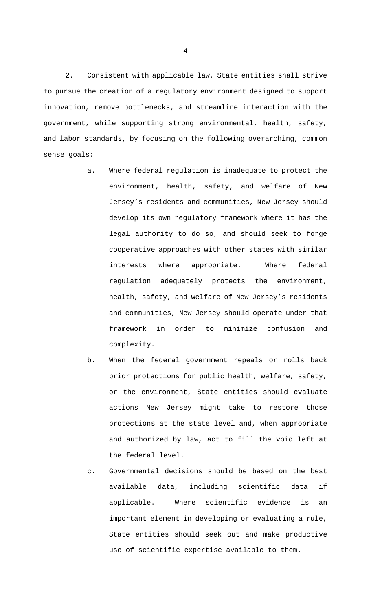2. Consistent with applicable law, State entities shall strive to pursue the creation of a regulatory environment designed to support innovation, remove bottlenecks, and streamline interaction with the government, while supporting strong environmental, health, safety, and labor standards, by focusing on the following overarching, common sense goals:

- a. Where federal regulation is inadequate to protect the environment, health, safety, and welfare of New Jersey's residents and communities, New Jersey should develop its own regulatory framework where it has the legal authority to do so, and should seek to forge cooperative approaches with other states with similar interests where appropriate. Where federal regulation adequately protects the environment, health, safety, and welfare of New Jersey's residents and communities, New Jersey should operate under that framework in order to minimize confusion and complexity.
- b. When the federal government repeals or rolls back prior protections for public health, welfare, safety, or the environment, State entities should evaluate actions New Jersey might take to restore those protections at the state level and, when appropriate and authorized by law, act to fill the void left at the federal level.
- c. Governmental decisions should be based on the best available data, including scientific data if applicable. Where scientific evidence is an important element in developing or evaluating a rule, State entities should seek out and make productive use of scientific expertise available to them.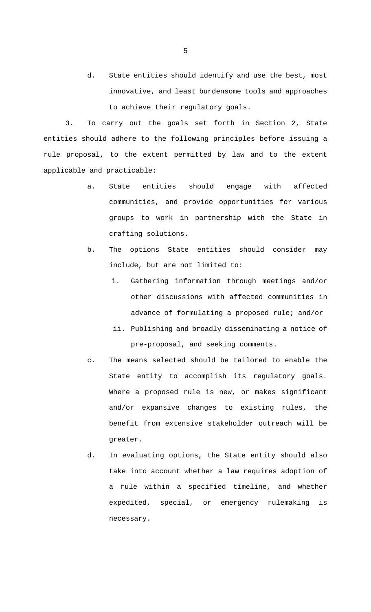d. State entities should identify and use the best, most innovative, and least burdensome tools and approaches to achieve their regulatory goals.

3. To carry out the goals set forth in Section 2, State entities should adhere to the following principles before issuing a rule proposal, to the extent permitted by law and to the extent applicable and practicable:

- a. State entities should engage with affected communities, and provide opportunities for various groups to work in partnership with the State in crafting solutions.
- b. The options State entities should consider may include, but are not limited to:
	- i. Gathering information through meetings and/or other discussions with affected communities in advance of formulating a proposed rule; and/or
	- ii. Publishing and broadly disseminating a notice of pre-proposal, and seeking comments.
- c. The means selected should be tailored to enable the State entity to accomplish its regulatory goals. Where a proposed rule is new, or makes significant and/or expansive changes to existing rules, the benefit from extensive stakeholder outreach will be greater.
- d. In evaluating options, the State entity should also take into account whether a law requires adoption of a rule within a specified timeline, and whether expedited, special, or emergency rulemaking is necessary.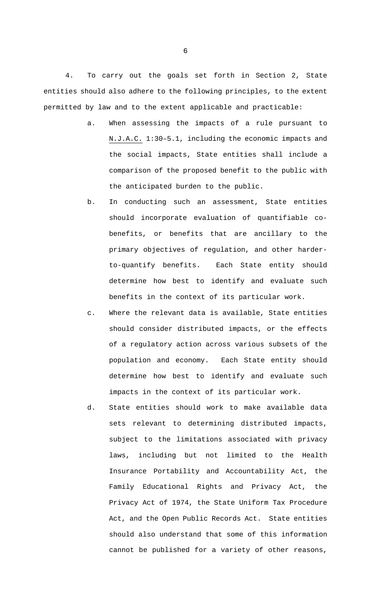4. To carry out the goals set forth in Section 2, State entities should also adhere to the following principles, to the extent permitted by law and to the extent applicable and practicable:

- a. When assessing the impacts of a rule pursuant to N.J.A.C. 1:30–5.1, including the economic impacts and the social impacts, State entities shall include a comparison of the proposed benefit to the public with the anticipated burden to the public.
- b. In conducting such an assessment, State entities should incorporate evaluation of quantifiable cobenefits, or benefits that are ancillary to the primary objectives of regulation, and other harderto-quantify benefits. Each State entity should determine how best to identify and evaluate such benefits in the context of its particular work.
- c. Where the relevant data is available, State entities should consider distributed impacts, or the effects of a regulatory action across various subsets of the population and economy. Each State entity should determine how best to identify and evaluate such impacts in the context of its particular work.
- d. State entities should work to make available data sets relevant to determining distributed impacts, subject to the limitations associated with privacy laws, including but not limited to the Health Insurance Portability and Accountability Act, the Family Educational Rights and Privacy Act, the Privacy Act of 1974, the State Uniform Tax Procedure Act, and the Open Public Records Act. State entities should also understand that some of this information cannot be published for a variety of other reasons,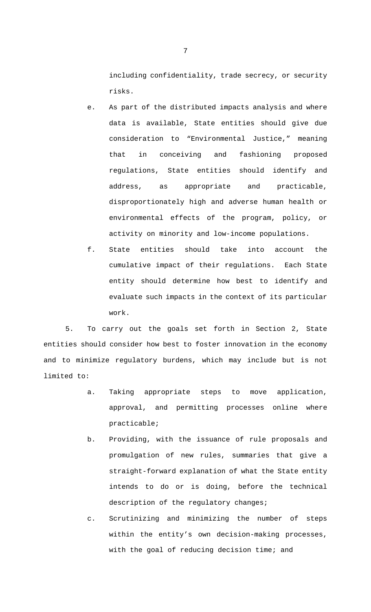including confidentiality, trade secrecy, or security risks.

- e. As part of the distributed impacts analysis and where data is available, State entities should give due consideration to "Environmental Justice," meaning that in conceiving and fashioning proposed regulations, State entities should identify and address, as appropriate and practicable, disproportionately high and adverse human health or environmental effects of the program, policy, or activity on minority and low-income populations.
- f. State entities should take into account the cumulative impact of their regulations. Each State entity should determine how best to identify and evaluate such impacts in the context of its particular work.

5. To carry out the goals set forth in Section 2, State entities should consider how best to foster innovation in the economy and to minimize regulatory burdens, which may include but is not limited to:

- a. Taking appropriate steps to move application, approval, and permitting processes online where practicable;
- b. Providing, with the issuance of rule proposals and promulgation of new rules, summaries that give a straight-forward explanation of what the State entity intends to do or is doing, before the technical description of the regulatory changes;
- c. Scrutinizing and minimizing the number of steps within the entity's own decision-making processes, with the goal of reducing decision time; and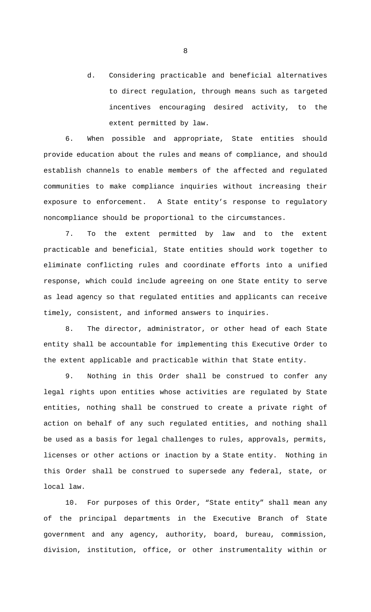d. Considering practicable and beneficial alternatives to direct regulation, through means such as targeted incentives encouraging desired activity, to the extent permitted by law.

6. When possible and appropriate, State entities should provide education about the rules and means of compliance, and should establish channels to enable members of the affected and regulated communities to make compliance inquiries without increasing their exposure to enforcement. A State entity's response to regulatory noncompliance should be proportional to the circumstances.

7. To the extent permitted by law and to the extent practicable and beneficial, State entities should work together to eliminate conflicting rules and coordinate efforts into a unified response, which could include agreeing on one State entity to serve as lead agency so that regulated entities and applicants can receive timely, consistent, and informed answers to inquiries.

8. The director, administrator, or other head of each State entity shall be accountable for implementing this Executive Order to the extent applicable and practicable within that State entity.

9. Nothing in this Order shall be construed to confer any legal rights upon entities whose activities are regulated by State entities, nothing shall be construed to create a private right of action on behalf of any such regulated entities, and nothing shall be used as a basis for legal challenges to rules, approvals, permits, licenses or other actions or inaction by a State entity. Nothing in this Order shall be construed to supersede any federal, state, or local law.

10. For purposes of this Order, "State entity" shall mean any of the principal departments in the Executive Branch of State government and any agency, authority, board, bureau, commission, division, institution, office, or other instrumentality within or